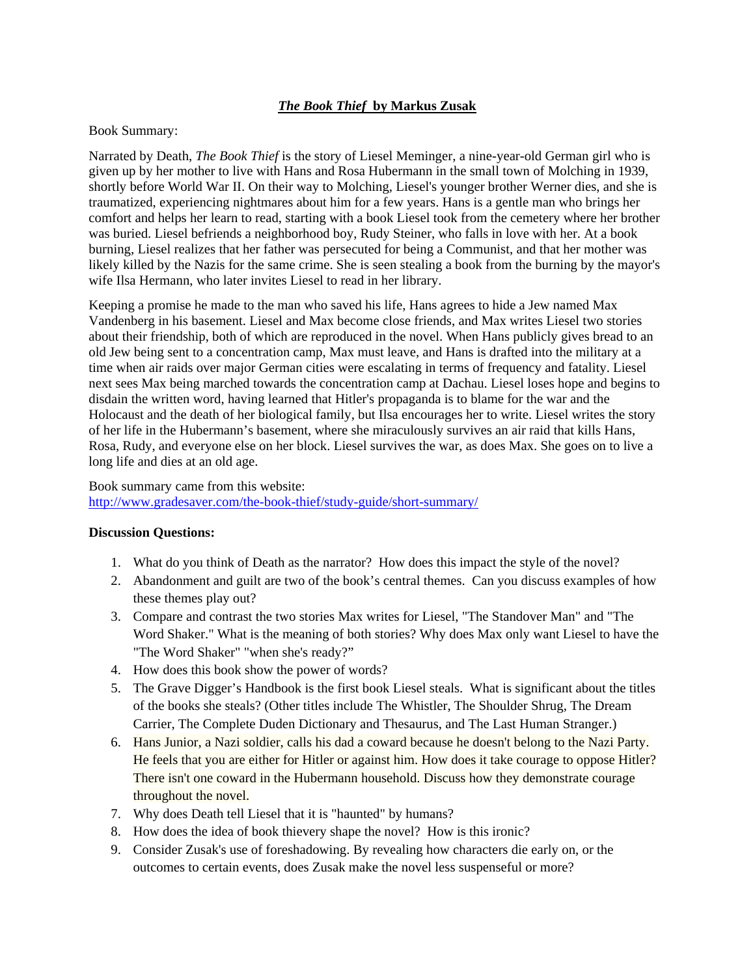# *The Book Thief* **by Markus Zusak**

## Book Summary:

Narrated by Death, *The Book Thief* is the story of Liesel Meminger, a nine-year-old German girl who is given up by her mother to live with Hans and Rosa Hubermann in the small town of Molching in 1939, shortly before World War II. On their way to Molching, Liesel's younger brother Werner dies, and she is traumatized, experiencing nightmares about him for a few years. Hans is a gentle man who brings her comfort and helps her learn to read, starting with a book Liesel took from the cemetery where her brother was buried. Liesel befriends a neighborhood boy, Rudy Steiner, who falls in love with her. At a book burning, Liesel realizes that her father was persecuted for being a Communist, and that her mother was likely killed by the Nazis for the same crime. She is seen stealing a book from the burning by the mayor's wife Ilsa Hermann, who later invites Liesel to read in her library.

Keeping a promise he made to the man who saved his life, Hans agrees to hide a Jew named Max Vandenberg in his basement. Liesel and Max become close friends, and Max writes Liesel two stories about their friendship, both of which are reproduced in the novel. When Hans publicly gives bread to an old Jew being sent to a concentration camp, Max must leave, and Hans is drafted into the military at a time when air raids over major German cities were escalating in terms of frequency and fatality. Liesel next sees Max being marched towards the concentration camp at Dachau. Liesel loses hope and begins to disdain the written word, having learned that Hitler's propaganda is to blame for the war and the Holocaust and the death of her biological family, but Ilsa encourages her to write. Liesel writes the story of her life in the Hubermann's basement, where she miraculously survives an air raid that kills Hans, Rosa, Rudy, and everyone else on her block. Liesel survives the war, as does Max. She goes on to live a long life and dies at an old age.

## Book summary came from this website: http://www.gradesaver.com/the-book-thief/study-guide/short-summary/

# **Discussion Questions:**

- 1. What do you think of Death as the narrator? How does this impact the style of the novel?
- 2. Abandonment and guilt are two of the book's central themes. Can you discuss examples of how these themes play out?
- 3. Compare and contrast the two stories Max writes for Liesel, "The Standover Man" and "The Word Shaker." What is the meaning of both stories? Why does Max only want Liesel to have the "The Word Shaker" "when she's ready?"
- 4. How does this book show the power of words?
- 5. The Grave Digger's Handbook is the first book Liesel steals. What is significant about the titles of the books she steals? (Other titles include The Whistler, The Shoulder Shrug, The Dream Carrier, The Complete Duden Dictionary and Thesaurus, and The Last Human Stranger.)
- 6. Hans Junior, a Nazi soldier, calls his dad a coward because he doesn't belong to the Nazi Party. He feels that you are either for Hitler or against him. How does it take courage to oppose Hitler? There isn't one coward in the Hubermann household. Discuss how they demonstrate courage throughout the novel.
- 7. Why does Death tell Liesel that it is "haunted" by humans?
- 8. How does the idea of book thievery shape the novel? How is this ironic?
- 9. Consider Zusak's use of foreshadowing. By revealing how characters die early on, or the outcomes to certain events, does Zusak make the novel less suspenseful or more?